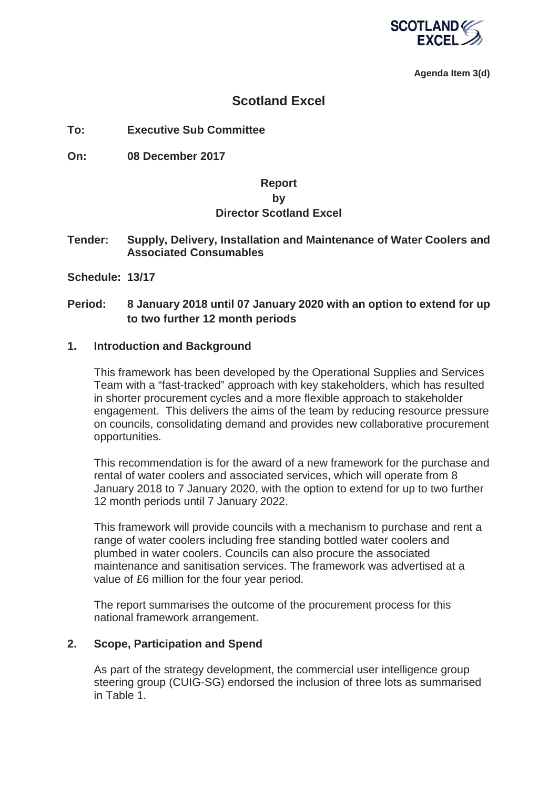

**Agenda Item 3(d)**

## **Scotland Excel**

**To: Executive Sub Committee** 

**On: 08 December 2017** 

## **Report**

## **by**

### **Director Scotland Excel**

**Tender: Supply, Delivery, Installation and Maintenance of Water Coolers and Associated Consumables** 

**Schedule: 13/17**

## **Period: 8 January 2018 until 07 January 2020 with an option to extend for up to two further 12 month periods**

### **1. Introduction and Background**

This framework has been developed by the Operational Supplies and Services Team with a "fast-tracked" approach with key stakeholders, which has resulted in shorter procurement cycles and a more flexible approach to stakeholder engagement. This delivers the aims of the team by reducing resource pressure on councils, consolidating demand and provides new collaborative procurement opportunities.

This recommendation is for the award of a new framework for the purchase and rental of water coolers and associated services, which will operate from 8 January 2018 to 7 January 2020, with the option to extend for up to two further 12 month periods until 7 January 2022.

This framework will provide councils with a mechanism to purchase and rent a range of water coolers including free standing bottled water coolers and plumbed in water coolers. Councils can also procure the associated maintenance and sanitisation services. The framework was advertised at a value of £6 million for the four year period.

The report summarises the outcome of the procurement process for this national framework arrangement.

### **2. Scope, Participation and Spend**

As part of the strategy development, the commercial user intelligence group steering group (CUIG-SG) endorsed the inclusion of three lots as summarised in Table 1.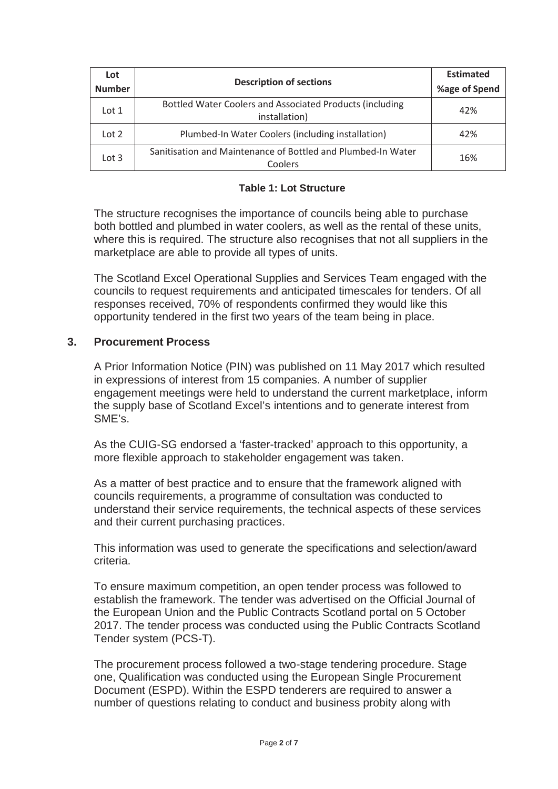| Lot<br><b>Number</b> | <b>Description of sections</b>                                            | <b>Estimated</b><br>%age of Spend |
|----------------------|---------------------------------------------------------------------------|-----------------------------------|
| Lot $1$              | Bottled Water Coolers and Associated Products (including<br>installation) | 42%                               |
| Lot 2                | Plumbed-In Water Coolers (including installation)                         | 42%                               |
| Lot $3$              | Sanitisation and Maintenance of Bottled and Plumbed-In Water<br>Coolers   | 16%                               |

#### **Table 1: Lot Structure**

The structure recognises the importance of councils being able to purchase both bottled and plumbed in water coolers, as well as the rental of these units, where this is required. The structure also recognises that not all suppliers in the marketplace are able to provide all types of units.

The Scotland Excel Operational Supplies and Services Team engaged with the councils to request requirements and anticipated timescales for tenders. Of all responses received, 70% of respondents confirmed they would like this opportunity tendered in the first two years of the team being in place.

#### **3. Procurement Process**

A Prior Information Notice (PIN) was published on 11 May 2017 which resulted in expressions of interest from 15 companies. A number of supplier engagement meetings were held to understand the current marketplace, inform the supply base of Scotland Excel's intentions and to generate interest from SME's.

As the CUIG-SG endorsed a 'faster-tracked' approach to this opportunity, a more flexible approach to stakeholder engagement was taken.

As a matter of best practice and to ensure that the framework aligned with councils requirements, a programme of consultation was conducted to understand their service requirements, the technical aspects of these services and their current purchasing practices.

This information was used to generate the specifications and selection/award criteria.

To ensure maximum competition, an open tender process was followed to establish the framework. The tender was advertised on the Official Journal of the European Union and the Public Contracts Scotland portal on 5 October 2017. The tender process was conducted using the Public Contracts Scotland Tender system (PCS-T).

The procurement process followed a two-stage tendering procedure. Stage one, Qualification was conducted using the European Single Procurement Document (ESPD). Within the ESPD tenderers are required to answer a number of questions relating to conduct and business probity along with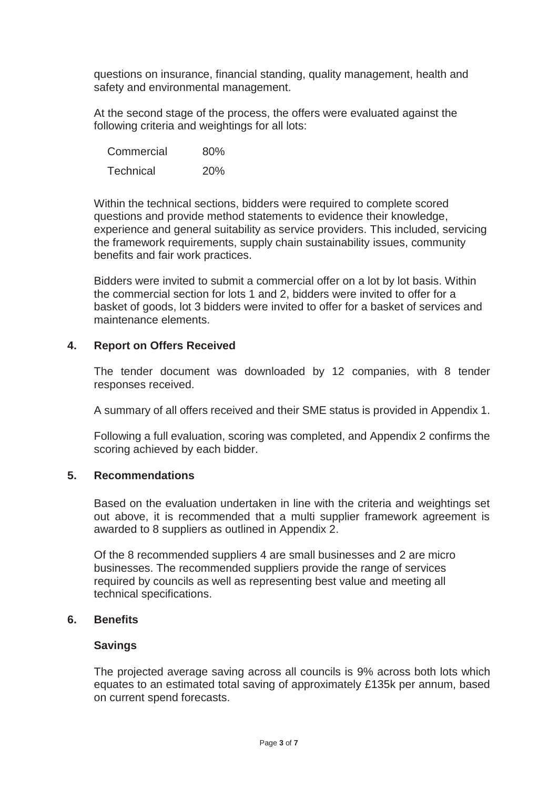questions on insurance, financial standing, quality management, health and safety and environmental management.

At the second stage of the process, the offers were evaluated against the following criteria and weightings for all lots:

| Commercial       | 80% |
|------------------|-----|
| <b>Technical</b> | 20% |

Within the technical sections, bidders were required to complete scored questions and provide method statements to evidence their knowledge, experience and general suitability as service providers. This included, servicing the framework requirements, supply chain sustainability issues, community benefits and fair work practices.

Bidders were invited to submit a commercial offer on a lot by lot basis. Within the commercial section for lots 1 and 2, bidders were invited to offer for a basket of goods, lot 3 bidders were invited to offer for a basket of services and maintenance elements.

## **4. Report on Offers Received**

The tender document was downloaded by 12 companies, with 8 tender responses received.

A summary of all offers received and their SME status is provided in Appendix 1.

Following a full evaluation, scoring was completed, and Appendix 2 confirms the scoring achieved by each bidder.

### **5. Recommendations**

Based on the evaluation undertaken in line with the criteria and weightings set out above, it is recommended that a multi supplier framework agreement is awarded to 8 suppliers as outlined in Appendix 2.

Of the 8 recommended suppliers 4 are small businesses and 2 are micro businesses. The recommended suppliers provide the range of services required by councils as well as representing best value and meeting all technical specifications.

### **6. Benefits**

## **Savings**

The projected average saving across all councils is 9% across both lots which equates to an estimated total saving of approximately £135k per annum, based on current spend forecasts.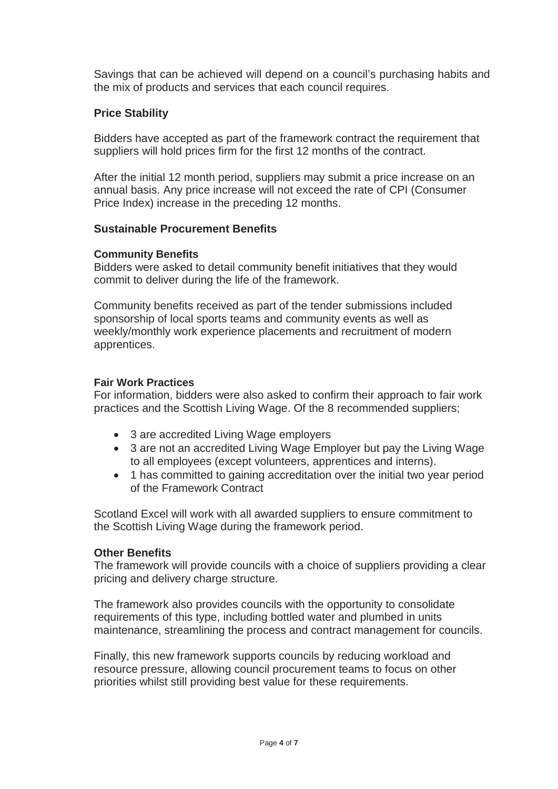Savings that can be achieved will depend on a council's purchasing habits and the mix of products and services that each council requires.

## **Price Stability**

Bidders have accepted as part of the framework contract the requirement that suppliers will hold prices firm for the first 12 months of the contract.

After the initial 12 month period, suppliers may submit a price increase on an annual basis. Any price increase will not exceed the rate of CPI (Consumer Price Index) increase in the preceding 12 months.

### **Sustainable Procurement Benefits**

#### **Community Benefits**

Bidders were asked to detail community benefit initiatives that they would commit to deliver during the life of the framework.

Community benefits received as part of the tender submissions included sponsorship of local sports teams and community events as well as weekly/monthly work experience placements and recruitment of modern apprentices.

#### **Fair Work Practices**

For information, bidders were also asked to confirm their approach to fair work practices and the Scottish Living Wage. Of the 8 recommended suppliers;

- 3 are accredited Living Wage employers
- 3 are not an accredited Living Wage Employer but pay the Living Wage to all employees (except volunteers, apprentices and interns).
- 1 has committed to gaining accreditation over the initial two year period of the Framework Contract

Scotland Excel will work with all awarded suppliers to ensure commitment to the Scottish Living Wage during the framework period.

### **Other Benefits**

The framework will provide councils with a choice of suppliers providing a clear pricing and delivery charge structure.

The framework also provides councils with the opportunity to consolidate requirements of this type, including bottled water and plumbed in units maintenance, streamlining the process and contract management for councils.

Finally, this new framework supports councils by reducing workload and resource pressure, allowing council procurement teams to focus on other priorities whilst still providing best value for these requirements.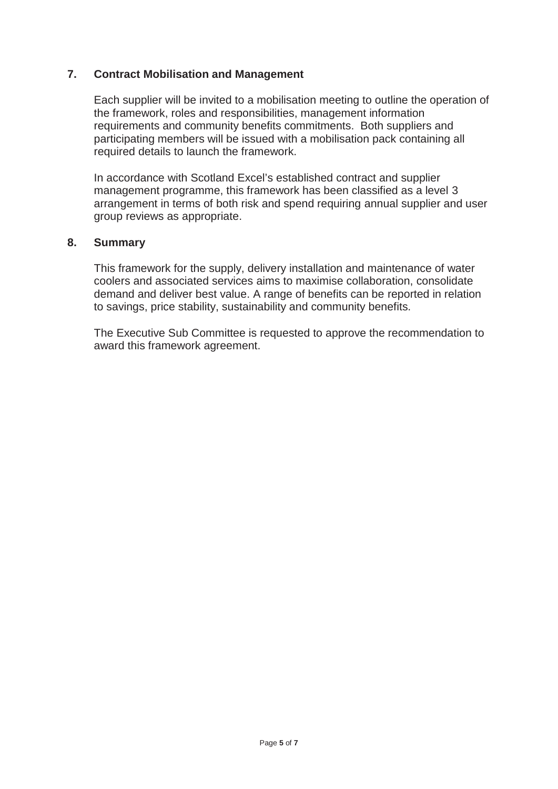## **7. Contract Mobilisation and Management**

Each supplier will be invited to a mobilisation meeting to outline the operation of the framework, roles and responsibilities, management information requirements and community benefits commitments. Both suppliers and participating members will be issued with a mobilisation pack containing all required details to launch the framework.

In accordance with Scotland Excel's established contract and supplier management programme, this framework has been classified as a level 3 arrangement in terms of both risk and spend requiring annual supplier and user group reviews as appropriate.

#### **8. Summary**

This framework for the supply, delivery installation and maintenance of water coolers and associated services aims to maximise collaboration, consolidate demand and deliver best value. A range of benefits can be reported in relation to savings, price stability, sustainability and community benefits.

The Executive Sub Committee is requested to approve the recommendation to award this framework agreement.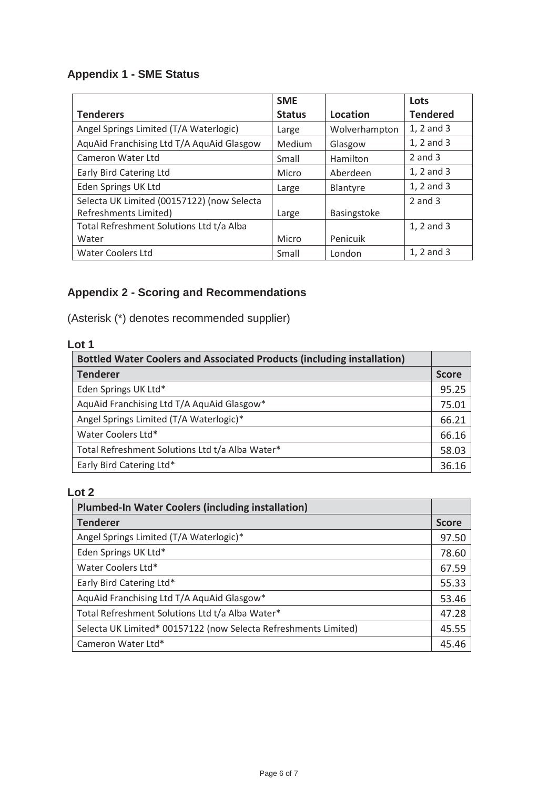# **Appendix 1 - SME Status**

|                                            | <b>SME</b>    |                 | Lots            |
|--------------------------------------------|---------------|-----------------|-----------------|
| <b>Tenderers</b>                           | <b>Status</b> | Location        | <b>Tendered</b> |
| Angel Springs Limited (T/A Waterlogic)     | Large         | Wolverhampton   | 1, 2 and 3      |
| AquAid Franchising Ltd T/A AquAid Glasgow  | Medium        | Glasgow         | 1, 2 and 3      |
| Cameron Water Ltd                          | Small         | Hamilton        | $2$ and $3$     |
| Early Bird Catering Ltd                    | Micro         | Aberdeen        | 1, 2 and 3      |
| Eden Springs UK Ltd                        | Large         | <b>Blantyre</b> | 1, 2 and 3      |
| Selecta UK Limited (00157122) (now Selecta |               |                 | $2$ and $3$     |
| Refreshments Limited)                      | Large         | Basingstoke     |                 |
| Total Refreshment Solutions Ltd t/a Alba   |               |                 | 1, 2 and 3      |
| Water                                      | Micro         | Penicuik        |                 |
| <b>Water Coolers Ltd</b>                   | Small         | London          | 1, 2 and 3      |

# **Appendix 2 - Scoring and Recommendations**

(Asterisk (\*) denotes recommended supplier)

## **Lot 1**

| <b>Bottled Water Coolers and Associated Products (including installation)</b> |       |
|-------------------------------------------------------------------------------|-------|
| <b>Tenderer</b>                                                               |       |
| Eden Springs UK Ltd*                                                          | 95.25 |
| AquAid Franchising Ltd T/A AquAid Glasgow*                                    | 75.01 |
| Angel Springs Limited (T/A Waterlogic)*                                       |       |
| Water Coolers Ltd*                                                            | 66.16 |
| Total Refreshment Solutions Ltd t/a Alba Water*                               |       |
| Early Bird Catering Ltd*                                                      | 36.16 |

## **Lot 2**

| <b>Plumbed-In Water Coolers (including installation)</b>        |       |
|-----------------------------------------------------------------|-------|
| <b>Tenderer</b>                                                 |       |
| Angel Springs Limited (T/A Waterlogic)*                         | 97.50 |
| Eden Springs UK Ltd*                                            | 78.60 |
| Water Coolers Ltd*                                              | 67.59 |
| Early Bird Catering Ltd*                                        |       |
| AquAid Franchising Ltd T/A AquAid Glasgow*                      |       |
| Total Refreshment Solutions Ltd t/a Alba Water*                 |       |
| Selecta UK Limited* 00157122 (now Selecta Refreshments Limited) |       |
| Cameron Water Ltd*                                              | 45.46 |